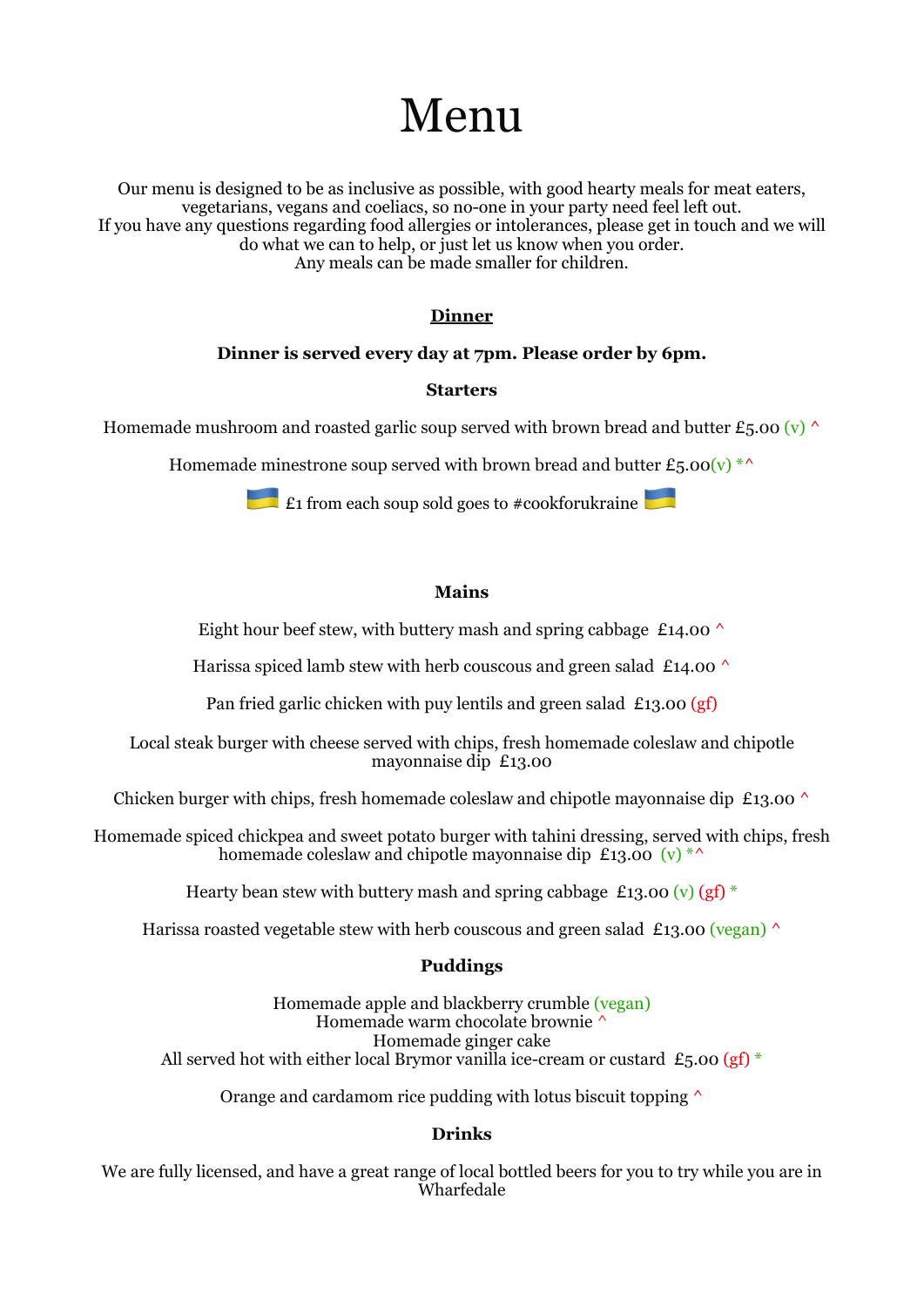# Menu

Our menu is designed to be as inclusive as possible, with good hearty meals for meat eaters, vegetarians, vegans and coeliacs, so no-one in your party need feel left out. If you have any questions regarding food allergies or intolerances, please get in touch and we will do what we can to help, or just let us know when you order. Any meals can be made smaller for children.

## **Dinner**

## **Dinner is served every day at 7pm. Please order by 6pm.**

### **Starters**

Homemade mushroom and roasted garlic soup served with brown bread and butter £5.00 (v)  $\wedge$ 

Homemade minestrone soup served with brown bread and butter  $\mathcal{E}_5.00(\mathrm{v})$  \*^

**E1** from each soup sold goes to #cookforukraine

### **Mains**

Eight hour beef stew, with buttery mash and spring cabbage £14.00  $\land$ 

Harissa spiced lamb stew with herb couscous and green salad £14.00  $\land$ 

Pan fried garlic chicken with puy lentils and green salad £13.00  $(gf)$ 

Local steak burger with cheese served with chips, fresh homemade coleslaw and chipotle mayonnaise dip £13.00

Chicken burger with chips, fresh homemade coleslaw and chipotle mayonnaise dip £13.00  $\land$ 

Homemade spiced chickpea and sweet potato burger with tahini dressing, served with chips, fresh homemade coleslaw and chipotle mayonnaise dip £13.00  $(v)$ <sup>\*^</sup>

Hearty bean stew with buttery mash and spring cabbage £13.00 (v) (gf)  $*$ 

Harissa roasted vegetable stew with herb couscous and green salad £13.00 (vegan)  $\wedge$ 

## **Puddings**

Homemade apple and blackberry crumble (vegan) Homemade warm chocolate brownie ^ Homemade ginger cake All served hot with either local Brymor vanilla ice-cream or custard £5.00 (gf)  $*$ 

Orange and cardamom rice pudding with lotus biscuit topping  $\wedge$ 

## **Drinks**

We are fully licensed, and have a great range of local bottled beers for you to try while you are in Wharfedale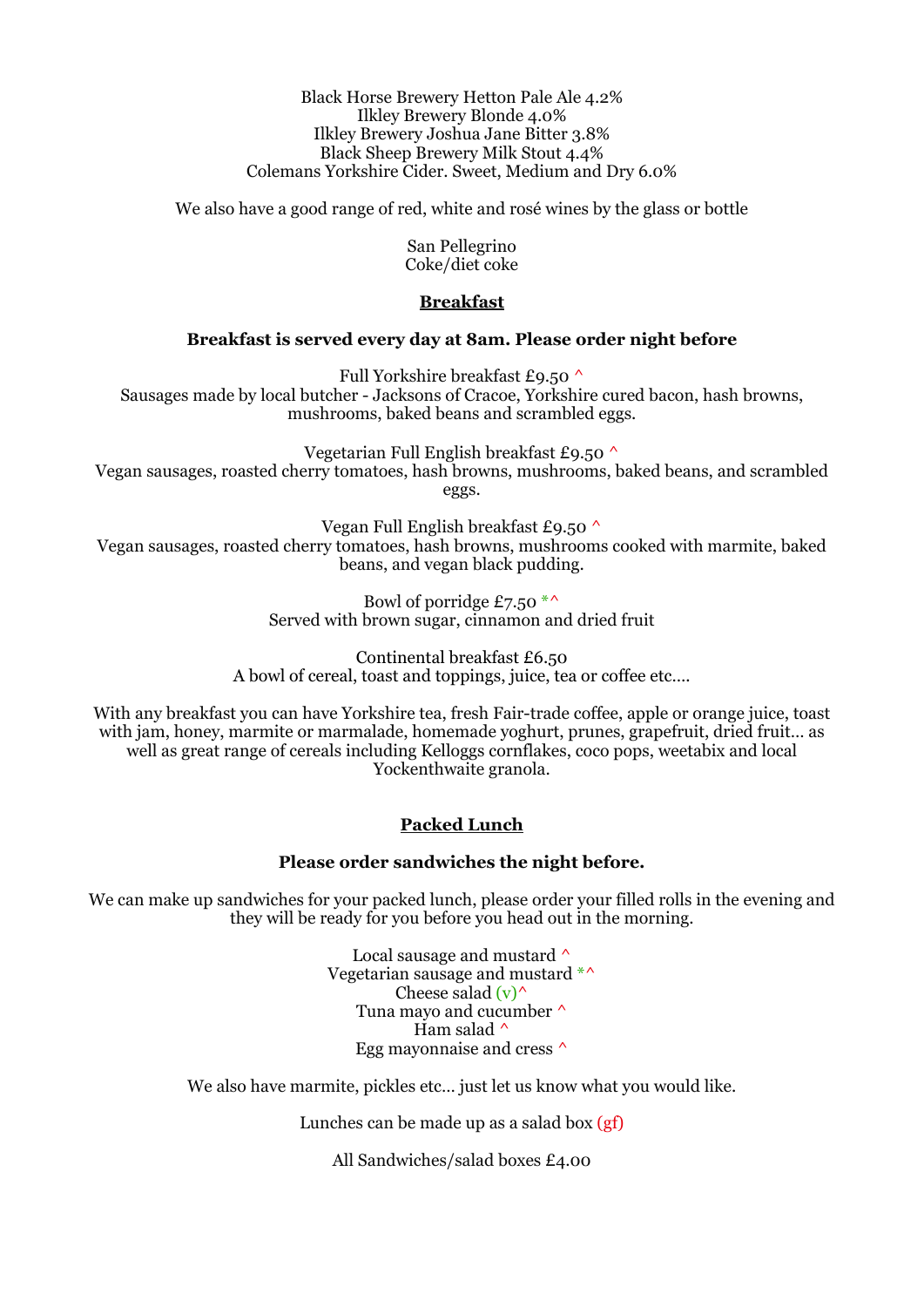Black Horse Brewery Hetton Pale Ale 4.2% Ilkley Brewery Blonde 4.0% Ilkley Brewery Joshua Jane Bitter 3.8% Black Sheep Brewery Milk Stout 4.4% Colemans Yorkshire Cider. Sweet, Medium and Dry 6.0%

We also have a good range of red, white and rosé wines by the glass or bottle

San Pellegrino Coke/diet coke

### **Breakfast**

### **Breakfast is served every day at 8am. Please order night before**

Full Yorkshire breakfast £9.50 ^ Sausages made by local butcher - Jacksons of Cracoe, Yorkshire cured bacon, hash browns, mushrooms, baked beans and scrambled eggs.

Vegetarian Full English breakfast £9.50 ^ Vegan sausages, roasted cherry tomatoes, hash browns, mushrooms, baked beans, and scrambled eggs.

Vegan Full English breakfast £9.50 ^ Vegan sausages, roasted cherry tomatoes, hash browns, mushrooms cooked with marmite, baked beans, and vegan black pudding.

> Bowl of porridge £7.50  $*$ Served with brown sugar, cinnamon and dried fruit

Continental breakfast £6.50 A bowl of cereal, toast and toppings, juice, tea or coffee etc….

With any breakfast you can have Yorkshire tea, fresh Fair-trade coffee, apple or orange juice, toast with jam, honey, marmite or marmalade, homemade yoghurt, prunes, grapefruit, dried fruit… as well as great range of cereals including Kelloggs cornflakes, coco pops, weetabix and local Yockenthwaite granola.

## **Packed Lunch**

#### **Please order sandwiches the night before.**

We can make up sandwiches for your packed lunch, please order your filled rolls in the evening and they will be ready for you before you head out in the morning.

> Local sausage and mustard  $\wedge$ Vegetarian sausage and mustard \*^ Cheese salad  $(v)$ Tuna mayo and cucumber ^ Ham salad  $\wedge$ Egg mayonnaise and cress ^

We also have marmite, pickles etc... just let us know what you would like.

Lunches can be made up as a salad box (gf)

All Sandwiches/salad boxes £4.00